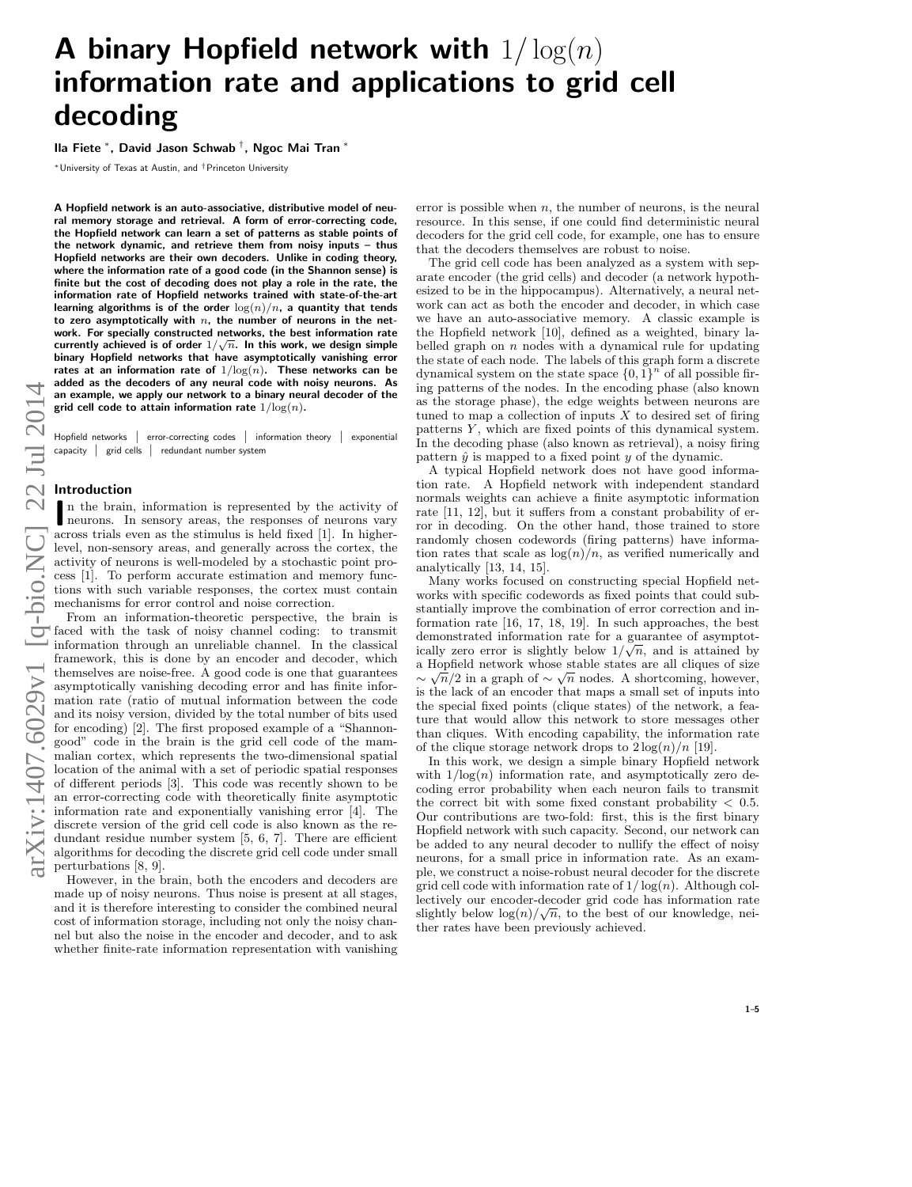# A binary Hopfield network with  $1/\log(n)$ information rate and applications to grid cell decoding

## Ila Fiete <sup>∗</sup> , David Jason Schwab † , Ngoc Mai Tran <sup>∗</sup>

<sup>∗</sup>University of Texas at Austin, and †Princeton University

A Hopfield network is an auto-associative, distributive model of neural memory storage and retrieval. A form of error-correcting code, the Hopfield network can learn a set of patterns as stable points of the network dynamic, and retrieve them from noisy inputs – thus Hopfield networks are their own decoders. Unlike in coding theory, where the information rate of a good code (in the Shannon sense) is finite but the cost of decoding does not play a role in the rate, the information rate of Hopfield networks trained with state-of-the-art learning algorithms is of the order  $\log(n)/n$ , a quantity that tends to zero asymptotically with  $n$ , the number of neurons in the network. For specially constructed networks, the best information rate work. For specially constructed hetworks, the best information rate<br>currently achieved is of order  $1/\sqrt{n}$ . In this work, we design simple binary Hopfield networks that have asymptotically vanishing error rates at an information rate of  $1/\text{log}(n)$ . These networks can be added as the decoders of any neural code with noisy neurons. As an example, we apply our network to a binary neural decoder of the grid cell code to attain information rate  $1/\log(n)$ .

Hopfield networks | error-correcting codes | information theory | exponential capacity | grid cells | redundant number system

## Introduction

In the brain, information is represented by the activity of neurons. In sensory areas, the responses of neurons vary neurons. In sensory areas, the responses of neurons vary across trials even as the stimulus is held fixed [1]. In higherlevel, non-sensory areas, and generally across the cortex, the activity of neurons is well-modeled by a stochastic point process [1]. To perform accurate estimation and memory functions with such variable responses, the cortex must contain mechanisms for error control and noise correction.

From an information-theoretic perspective, the brain is faced with the task of noisy channel coding: to transmit information through an unreliable channel. In the classical framework, this is done by an encoder and decoder, which themselves are noise-free. A good code is one that guarantees asymptotically vanishing decoding error and has finite information rate (ratio of mutual information between the code and its noisy version, divided by the total number of bits used for encoding) [2]. The first proposed example of a "Shannongood" code in the brain is the grid cell code of the mammalian cortex, which represents the two-dimensional spatial location of the animal with a set of periodic spatial responses of different periods [3]. This code was recently shown to be an error-correcting code with theoretically finite asymptotic information rate and exponentially vanishing error [4]. The discrete version of the grid cell code is also known as the redundant residue number system [5, 6, 7]. There are efficient algorithms for decoding the discrete grid cell code under small perturbations [8, 9].

However, in the brain, both the encoders and decoders are made up of noisy neurons. Thus noise is present at all stages, and it is therefore interesting to consider the combined neural cost of information storage, including not only the noisy channel but also the noise in the encoder and decoder, and to ask whether finite-rate information representation with vanishing

error is possible when  $n$ , the number of neurons, is the neural resource. In this sense, if one could find deterministic neural decoders for the grid cell code, for example, one has to ensure that the decoders themselves are robust to noise.

The grid cell code has been analyzed as a system with separate encoder (the grid cells) and decoder (a network hypothesized to be in the hippocampus). Alternatively, a neural network can act as both the encoder and decoder, in which case we have an auto-associative memory. A classic example is the Hopfield network [10], defined as a weighted, binary labelled graph on  $n$  nodes with a dynamical rule for updating the state of each node. The labels of this graph form a discrete dynamical system on the state space  $\{0, 1\}^n$  of all possible firing patterns of the nodes. In the encoding phase (also known as the storage phase), the edge weights between neurons are tuned to map a collection of inputs  $X$  to desired set of firing patterns  $Y$ , which are fixed points of this dynamical system. In the decoding phase (also known as retrieval), a noisy firing pattern  $\hat{y}$  is mapped to a fixed point y of the dynamic.

A typical Hopfield network does not have good information rate. A Hopfield network with independent standard normals weights can achieve a finite asymptotic information rate [11, 12], but it suffers from a constant probability of error in decoding. On the other hand, those trained to store randomly chosen codewords (firing patterns) have information rates that scale as  $\log(n)/n$ , as verified numerically and analytically [13, 14, 15].

Many works focused on constructing special Hopfield networks with specific codewords as fixed points that could substantially improve the combination of error correction and information rate [16, 17, 18, 19]. In such approaches, the best demonstrated information rate for a guarantee of asymptotically zero error is slightly below  $1/\sqrt{n}$ , and is attained by a Hopfield network whose stable states are all cliques of size  $\sim \sqrt{n}/2$  in a graph of  $\sim \sqrt{n}$  nodes. A shortcoming, however, is the lack of an encoder that maps a small set of inputs into the special fixed points (clique states) of the network, a feature that would allow this network to store messages other than cliques. With encoding capability, the information rate of the clique storage network drops to  $2 \log(n)/n$  [19].

In this work, we design a simple binary Hopfield network with  $1/\log(n)$  information rate, and asymptotically zero decoding error probability when each neuron fails to transmit the correct bit with some fixed constant probability  $< 0.5$ . Our contributions are two-fold: first, this is the first binary Hopfield network with such capacity. Second, our network can be added to any neural decoder to nullify the effect of noisy neurons, for a small price in information rate. As an example, we construct a noise-robust neural decoder for the discrete grid cell code with information rate of  $1/\log(n)$ . Although collectively our encoder-decoder grid code has information rate √ slightly below  $\log(n)/\sqrt{n}$ , to the best of our knowledge, neither rates have been previously achieved.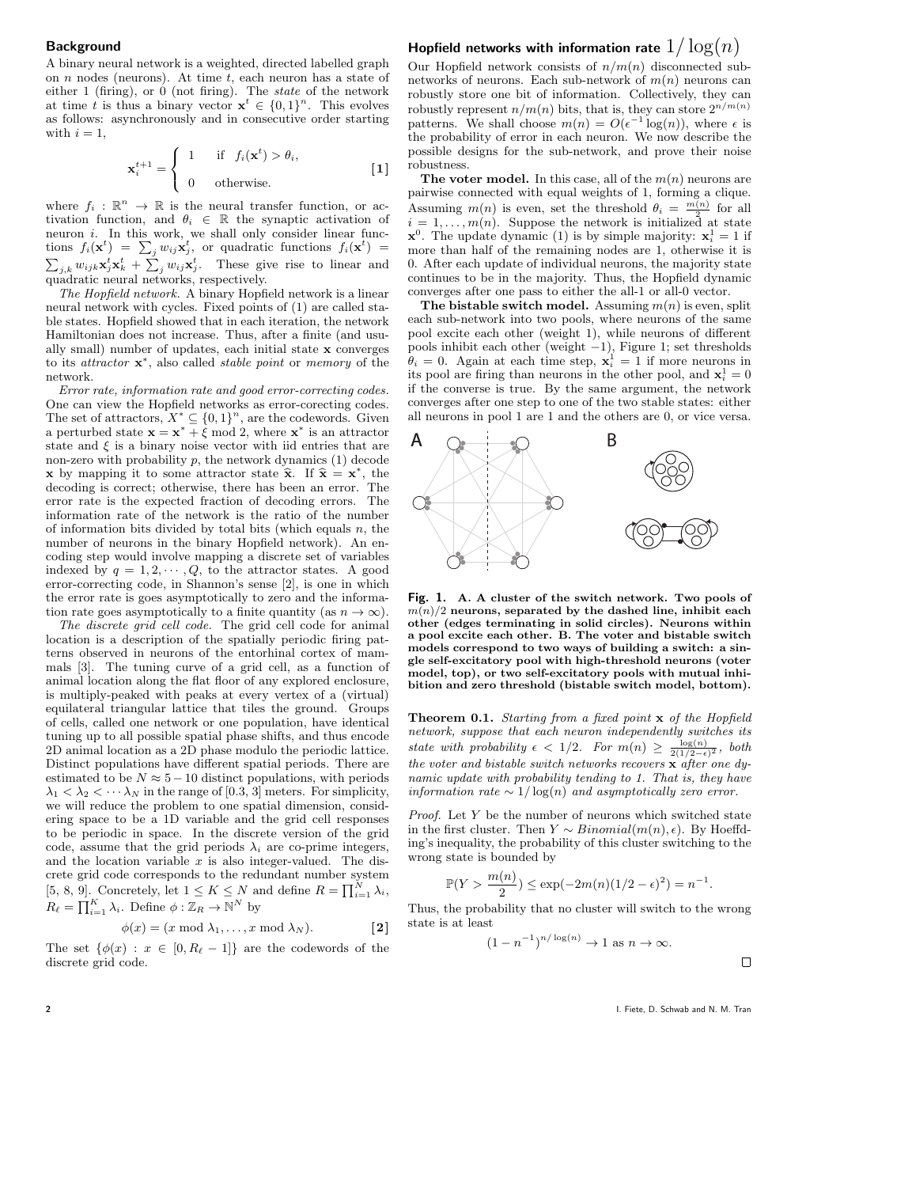## **Background**

A binary neural network is a weighted, directed labelled graph on  $n$  nodes (neurons). At time  $t$ , each neuron has a state of either 1 (firing), or  $0$  (not firing). The *state* of the network at time t is thus a binary vector  $\mathbf{x}^t \in \{0,1\}^n$ . This evolves as follows: asynchronously and in consecutive order starting with  $i = 1$ ,

$$
\mathbf{x}_{i}^{t+1} = \begin{cases} 1 & \text{if } f_{i}(\mathbf{x}^{t}) > \theta_{i}, \\ 0 & \text{otherwise.} \end{cases}
$$
 [1]

where  $f_i : \mathbb{R}^n \to \mathbb{R}$  is the neural transfer function, or activation function, and  $\theta_i \in \mathbb{R}$  the synaptic activation of neuron *i*. In this work, we shall only consider linear functions  $f_i(\mathbf{x}^t) = \sum_j w_{ij} \mathbf{x}_j^t$ , or quadratic functions  $f_i(\mathbf{x}^t) =$  $\sum_{j,k} w_{ijk} \mathbf{x}_j^t \mathbf{x}_k^t + \sum_j w_{ij} \mathbf{x}_j^t$ . These give rise to linear and quadratic neural networks, respectively.

The Hopfield network. A binary Hopfield network is a linear neural network with cycles. Fixed points of (1) are called stable states. Hopfield showed that in each iteration, the network Hamiltonian does not increase. Thus, after a finite (and usually small) number of updates, each initial state x converges to its *attractor* **x**<sup>\*</sup>, also called *stable point* or *memory* of the network.

Error rate, information rate and good error-correcting codes. One can view the Hopfield networks as error-corecting codes. The set of attractors,  $X^* \subseteq \{0,1\}^n$ , are the codewords. Given a perturbed state  $\mathbf{x} = \mathbf{x}^* + \xi \mod 2$ , where  $\mathbf{x}^*$  is an attractor state and  $\xi$  is a binary noise vector with iid entries that are non-zero with probability  $p$ , the network dynamics  $(1)$  decode x by mapping it to some attractor state  $\hat{\mathbf{x}}$ . If  $\hat{\mathbf{x}} = \mathbf{x}^*$ , the decoding is correct: otherwise, there has been an error. The decoding is correct; otherwise, there has been an error. The error rate is the expected fraction of decoding errors. The information rate of the network is the ratio of the number of information bits divided by total bits (which equals  $n$ , the number of neurons in the binary Hopfield network). An encoding step would involve mapping a discrete set of variables indexed by  $q = 1, 2, \dots, Q$ , to the attractor states. A good error-correcting code, in Shannon's sense [2], is one in which the error rate is goes asymptotically to zero and the information rate goes asymptotically to a finite quantity (as  $n \to \infty$ ).

The discrete grid cell code. The grid cell code for animal location is a description of the spatially periodic firing patterns observed in neurons of the entorhinal cortex of mammals [3]. The tuning curve of a grid cell, as a function of animal location along the flat floor of any explored enclosure, is multiply-peaked with peaks at every vertex of a (virtual) equilateral triangular lattice that tiles the ground. Groups of cells, called one network or one population, have identical tuning up to all possible spatial phase shifts, and thus encode 2D animal location as a 2D phase modulo the periodic lattice. Distinct populations have different spatial periods. There are estimated to be  $N \approx 5-10$  distinct populations, with periods  $\lambda_1 < \lambda_2 < \cdots \lambda_N$  in the range of [0.3, 3] meters. For simplicity, we will reduce the problem to one spatial dimension, considering space to be a 1D variable and the grid cell responses to be periodic in space. In the discrete version of the grid code, assume that the grid periods  $\lambda_i$  are co-prime integers, and the location variable  $x$  is also integer-valued. The discrete grid code corresponds to the redundant number system [5, 8, 9]. Concretely, let  $1 \leq K \leq N$  and define  $R = \prod_{i=1}^{N} \lambda_i$ ,  $R_{\ell} = \prod_{i=1}^{K} \lambda_i$ . Define  $\phi : \mathbb{Z}_R \to \mathbb{N}^N$  by

$$
\phi(x) = (x \bmod \lambda_1, \dots, x \bmod \lambda_N). \qquad [2]
$$

The set  $\{\phi(x): x \in [0, R_{\ell} - 1]\}$  are the codewords of the discrete grid code.

# Hopfield networks with information rate  $1/\log(n)$

Our Hopfield network consists of  $n/m(n)$  disconnected subnetworks of neurons. Each sub-network of  $m(n)$  neurons can robustly store one bit of information. Collectively, they can robustly represent  $n/m(n)$  bits, that is, they can store  $2^{n/m(n)}$ patterns. We shall choose  $m(n) = O(\epsilon^{-1} \log(n))$ , where  $\epsilon$  is the probability of error in each neuron. We now describe the possible designs for the sub-network, and prove their noise robustness.

The voter model. In this case, all of the  $m(n)$  neurons are pairwise connected with equal weights of 1, forming a clique. Assuming  $m(n)$  is even, set the threshold  $\theta_i = \frac{m(n)}{2}$  for all  $i = 1, \ldots, m(n)$ . Suppose the network is initialized at state  $\mathbf{x}^0$ . The update dynamic (1) is by simple majority:  $\mathbf{x}_i^1 = 1$  if more than half of the remaining nodes are 1, otherwise it is 0. After each update of individual neurons, the majority state continues to be in the majority. Thus, the Hopfield dynamic converges after one pass to either the all-1 or all-0 vector.

The bistable switch model. Assuming  $m(n)$  is even, split each sub-network into two pools, where neurons of the same pool excite each other (weight 1), while neurons of different pools inhibit each other (weight −1), Figure 1; set thresholds  $\theta_i = 0$ . Again at each time step,  $\mathbf{x}_i^1 = 1$  if more neurons in its pool are firing than neurons in the other pool, and  $\mathbf{x}_i^1 = 0$ if the converse is true. By the same argument, the network converges after one step to one of the two stable states: either all neurons in pool 1 are 1 and the others are 0, or vice versa.



Fig. 1. A. A cluster of the switch network. Two pools of  $\mathfrak{m}(n)/2$  neurons, separated by the dashed line, inhibit each other (edges terminating in solid circles). Neurons within a pool excite each other. B. The voter and bistable switch models correspond to two ways of building a switch: a single self-excitatory pool with high-threshold neurons (voter model, top), or two self-excitatory pools with mutual inhibition and zero threshold (bistable switch model, bottom).

Theorem 0.1. Starting from a fixed point x of the Hopfield network, suppose that each neuron independently switches its state with probability  $\epsilon$  < 1/2. For  $m(n) \geq \frac{\log(n)}{2(1/2-\epsilon)^2}$ , both the voter and bistable switch networks recovers  $\hat{\mathbf{x}}$  after one dynamic update with probability tending to 1. That is, they have information rate  $\sim 1/\log(n)$  and asymptotically zero error.

Proof. Let Y be the number of neurons which switched state in the first cluster. Then  $Y \sim Binomial(m(n), \epsilon)$ . By Hoeffding's inequality, the probability of this cluster switching to the wrong state is bounded by

$$
\mathbb{P}(Y > \frac{m(n)}{2}) \le \exp(-2m(n)(1/2 - \epsilon)^2) = n^{-1}.
$$

Thus, the probability that no cluster will switch to the wrong state is at least

$$
(1 - n^{-1})^{n/\log(n)} \to 1 \text{ as } n \to \infty.
$$

 $\Box$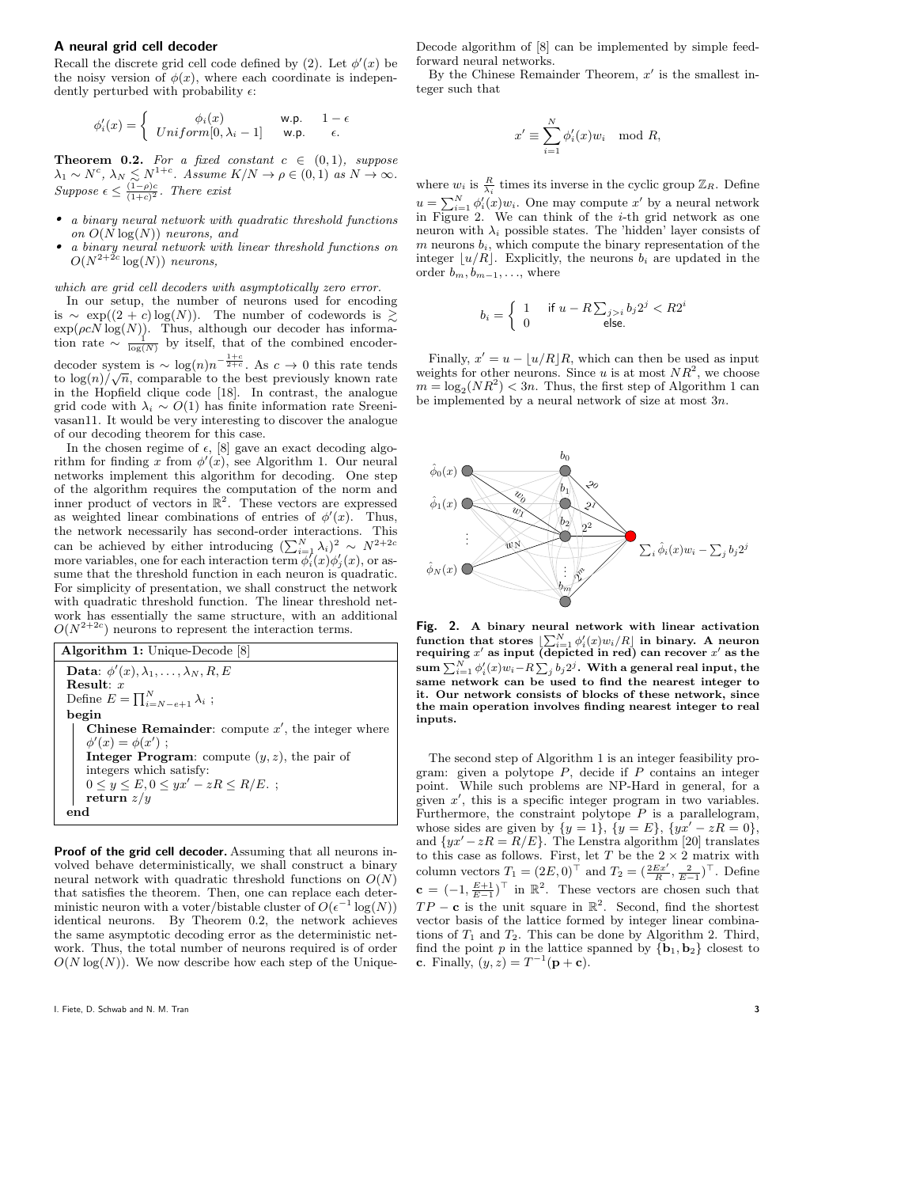## A neural grid cell decoder

Recall the discrete grid cell code defined by (2). Let  $\phi'(x)$  be the noisy version of  $\phi(x)$ , where each coordinate is independently perturbed with probability  $\epsilon$ :

$$
\phi_i'(x) = \begin{cases} \phi_i(x) & \text{w.p.} \quad 1 - \epsilon \\ Uniform[0, \lambda_i - 1] & \text{w.p.} \quad \epsilon. \end{cases}
$$

**Theorem 0.2.** For a fixed constant  $c \in (0,1)$ , suppose  $\lambda_1 \sim N^c$ ,  $\lambda_N \lesssim N^{1+c}$ . Assume  $K/N \to \rho \in (0,1)$  as  $N \to \infty$ . Suppose  $\epsilon \leq \frac{(1-\rho)c}{(1+c)^2}$ . There exist

- a binary neural network with quadratic threshold functions on  $O(N \log(N))$  neurons, and
- a binary neural network with linear threshold functions on  $O(N^{2+2c} \log(N))$  neurons,

which are grid cell decoders with asymptotically zero error.

In our setup, the number of neurons used for encoding is ∼ exp( $(2 + c) \log(N)$ ). The number of codewords is  $\geq$  $\exp(\rho c N \log(N))$ . Thus, although our decoder has information rate  $\sim \frac{1}{\log(N)}$  by itself, that of the combined encoderdecoder system is  $\sim \log(n)n^{-\frac{1+c}{2+c}}$ . As  $c \to 0$  this rate tends

to  $\log(n)/\sqrt{n}$ , comparable to the best previously known rate in the Hopfield clique code [18]. In contrast, the analogue grid code with  $\lambda_i \sim O(1)$  has finite information rate Sreenivasan11. It would be very interesting to discover the analogue of our decoding theorem for this case.

In the chosen regime of  $\epsilon$ , [8] gave an exact decoding algorithm for finding x from  $\phi'(x)$ , see Algorithm 1. Our neural networks implement this algorithm for decoding. One step of the algorithm requires the computation of the norm and inner product of vectors in  $\mathbb{R}^2$ . These vectors are expressed as weighted linear combinations of entries of  $\phi'(x)$ . Thus, the network necessarily has second-order interactions. This can be achieved by either introducing  $(\sum_{i=1}^{N} \lambda_i)^2 \sim N^{2+2c}$ more variables, one for each interaction term  $\phi_i^{\prime}(x)\phi_j^{\prime}(x)$ , or assume that the threshold function in each neuron is quadratic. For simplicity of presentation, we shall construct the network with quadratic threshold function. The linear threshold network has essentially the same structure, with an additional  $O(N^{2+2c})$  neurons to represent the interaction terms.

Algorithm 1: Unique-Decode [8] Data:  $\phi'(x), \lambda_1, \ldots, \lambda_N, R, E$ Result:  $x$ Define  $E = \prod_{i=N-e+1}^{N} \lambda_i$ ; begin Chinese Remainder: compute  $x'$ , the integer where  $\phi'(x) = \phi(x')$ ; **Integer Program:** compute  $(y, z)$ , the pair of integers which satisfy:  $0 \le y \le E, 0 \le yx' - zR \le R/E.$ ; return  $z/y$ end

Proof of the grid cell decoder. Assuming that all neurons involved behave deterministically, we shall construct a binary neural network with quadratic threshold functions on  $O(N)$ that satisfies the theorem. Then, one can replace each deterministic neuron with a voter/bistable cluster of  $O(\epsilon^{-1} \log(N))$ identical neurons. By Theorem 0.2, the network achieves the same asymptotic decoding error as the deterministic network. Thus, the total number of neurons required is of order  $O(N \log(N))$ . We now describe how each step of the Unique-

Decode algorithm of [8] can be implemented by simple feedforward neural networks.

By the Chinese Remainder Theorem,  $x'$  is the smallest integer such that

$$
x' \equiv \sum_{i=1}^{N} \phi'_i(x) w_i \mod R,
$$

where  $w_i$  is  $\frac{R}{\lambda_i}$  times its inverse in the cyclic group  $\mathbb{Z}_R$ . Define  $u = \sum_{i=1}^{N} \phi'_i(x) w_i$ . One may compute  $x'$  by a neural network in Figure 2. We can think of the  $i$ -th grid network as one neuron with  $\lambda_i$  possible states. The 'hidden' layer consists of  $m$  neurons  $b_i$ , which compute the binary representation of the integer  $\lfloor u/R \rfloor$ . Explicitly, the neurons  $b_i$  are updated in the order  $b_m, b_{m-1}, \ldots$ , where

$$
b_i = \left\{ \begin{array}{ll} 1 & \text{ if } u-R\sum_{j>i}b_j2^j < R2^i \\ 0 & \text{ else.} \end{array} \right.
$$

Finally,  $x' = u - \lfloor u/R \rfloor R$ , which can then be used as input weights for other neurons. Since u is at most  $NR^2$ , we choose  $m = \log_2(NR^2) < 3n$ . Thus, the first step of Algorithm 1 can be implemented by a neural network of size at most  $3n$ .



Fig. 2. A binary neural network with linear activation function that stores  $\left[\sum_{i=1}^{N} \phi'_i(x) w_i/R\right]$  in binary. A neuron requiring x' as input (depicted in red) can recover  $x'$  as the  $\operatorname{sum}\sum_{i=1}^N \phi'_i(x) w_i$ – $R\sum_j b_j 2^j.$  With a general real input, the same network can be used to find the nearest integer to it. Our network consists of blocks of these network, since the main operation involves finding nearest integer to real inputs.

The second step of Algorithm 1 is an integer feasibility program: given a polytope  $P$ , decide if  $P$  contains an integer point. While such problems are NP-Hard in general, for a given  $x'$ , this is a specific integer program in two variables. Furthermore, the constraint polytope  $P$  is a parallelogram, whose sides are given by  $\{y = 1\}$ ,  $\{y = E\}$ ,  $\{yx' - zR = 0\}$ , and  $\{yx' - zR = R/E\}$ . The Lenstra algorithm [20] translates to this case as follows. First, let T be the  $2 \times 2$  matrix with column vectors  $T_1 = (2E, 0)^{\top}$  and  $T_2 = (\frac{2Ex'}{R}, \frac{2}{E-1})^{\top}$ . Define  $\mathbf{c} = (-1, \frac{E+1}{E-1})^{\top}$  in  $\mathbb{R}^2$ . These vectors are chosen such that  $TP - c$  is the unit square in  $\mathbb{R}^2$ . Second, find the shortest vector basis of the lattice formed by integer linear combinations of  $T_1$  and  $T_2$ . This can be done by Algorithm 2. Third, find the point p in the lattice spanned by  ${b_1, b_2}$  closest to **c**. Finally,  $(y, z) = T^{-1}(\mathbf{p} + \mathbf{c})$ .